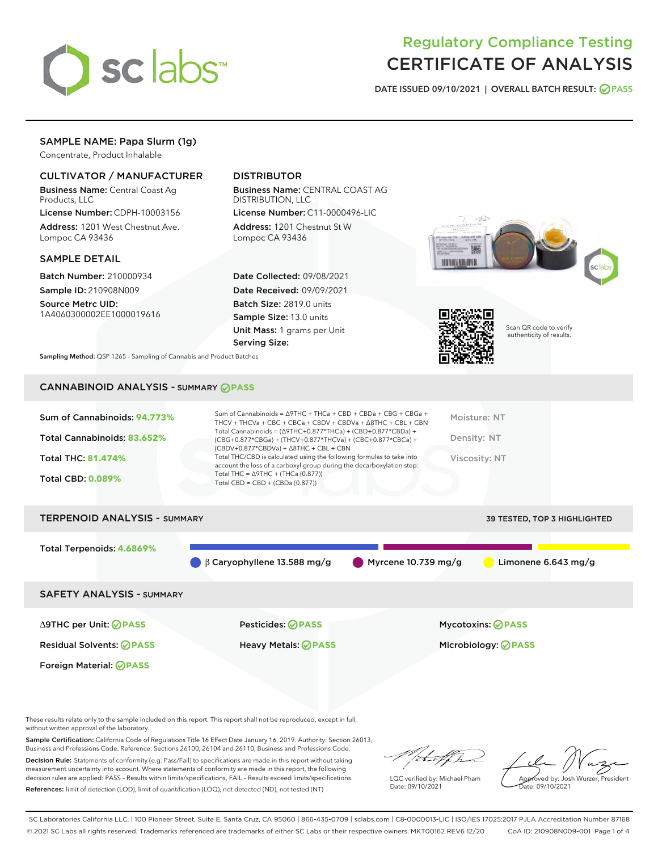

# Regulatory Compliance Testing CERTIFICATE OF ANALYSIS

DATE ISSUED 09/10/2021 | OVERALL BATCH RESULT: @ PASS

### SAMPLE NAME: Papa Slurm (1g)

Concentrate, Product Inhalable

### CULTIVATOR / MANUFACTURER

Business Name: Central Coast Ag Products, LLC

License Number: CDPH-10003156 Address: 1201 West Chestnut Ave. Lompoc CA 93436

#### SAMPLE DETAIL

Batch Number: 210000934 Sample ID: 210908N009

Source Metrc UID: 1A4060300002EE1000019616

### DISTRIBUTOR

Business Name: CENTRAL COAST AG DISTRIBUTION, LLC License Number: C11-0000496-LIC

Address: 1201 Chestnut St W Lompoc CA 93436

Date Collected: 09/08/2021 Date Received: 09/09/2021 Batch Size: 2819.0 units Sample Size: 13.0 units Unit Mass: 1 grams per Unit Serving Size:





Scan QR code to verify authenticity of results.

Sampling Method: QSP 1265 - Sampling of Cannabis and Product Batches

## CANNABINOID ANALYSIS - SUMMARY **PASS**

| Sum of Cannabinoids: 94.773% | Sum of Cannabinoids = $\triangle$ 9THC + THCa + CBD + CBDa + CBG + CBGa +<br>THCV + THCVa + CBC + CBCa + CBDV + CBDVa + $\Delta$ 8THC + CBL + CBN                                    | Moisture: NT  |
|------------------------------|--------------------------------------------------------------------------------------------------------------------------------------------------------------------------------------|---------------|
| Total Cannabinoids: 83.652%  | Total Cannabinoids = $(\Delta$ 9THC+0.877*THCa) + (CBD+0.877*CBDa) +<br>(CBG+0.877*CBGa) + (THCV+0.877*THCVa) + (CBC+0.877*CBCa) +<br>$(CBDV+0.877*CBDVa) + \Delta 8THC + CBL + CBN$ | Density: NT   |
| <b>Total THC: 81.474%</b>    | Total THC/CBD is calculated using the following formulas to take into<br>account the loss of a carboxyl group during the decarboxylation step:                                       | Viscosity: NT |
| <b>Total CBD: 0.089%</b>     | Total THC = $\triangle$ 9THC + (THCa (0.877))<br>Total CBD = $CBD + (CBDa (0.877))$                                                                                                  |               |
|                              |                                                                                                                                                                                      |               |

| Total Terpenoids: 4.6869%                                                      |                     |
|--------------------------------------------------------------------------------|---------------------|
| $\bigcirc$ $\beta$ Caryophyllene 13.588 mg/g<br>$\bigcirc$ Myrcene 10.739 mg/g | Limonene 6.643 mg/g |
| <b>SAFETY ANALYSIS - SUMMARY</b>                                               |                     |

Foreign Material: **PASS**

∆9THC per Unit: **PASS** Pesticides: **PASS** Mycotoxins: **PASS**

Residual Solvents: **PASS** Heavy Metals: **PASS** Microbiology: **PASS**

These results relate only to the sample included on this report. This report shall not be reproduced, except in full, without written approval of the laboratory.

Sample Certification: California Code of Regulations Title 16 Effect Date January 16, 2019. Authority: Section 26013, Business and Professions Code. Reference: Sections 26100, 26104 and 26110, Business and Professions Code.

Decision Rule: Statements of conformity (e.g. Pass/Fail) to specifications are made in this report without taking measurement uncertainty into account. Where statements of conformity are made in this report, the following decision rules are applied: PASS – Results within limits/specifications, FAIL – Results exceed limits/specifications. References: limit of detection (LOD), limit of quantification (LOQ), not detected (ND), not tested (NT)

that fCh

LQC verified by: Michael Pham Date: 09/10/2021

Approved by: Josh Wurzer, President ate: 09/10/2021

SC Laboratories California LLC. | 100 Pioneer Street, Suite E, Santa Cruz, CA 95060 | 866-435-0709 | sclabs.com | C8-0000013-LIC | ISO/IES 17025:2017 PJLA Accreditation Number 87168 © 2021 SC Labs all rights reserved. Trademarks referenced are trademarks of either SC Labs or their respective owners. MKT00162 REV6 12/20 CoA ID: 210908N009-001 Page 1 of 4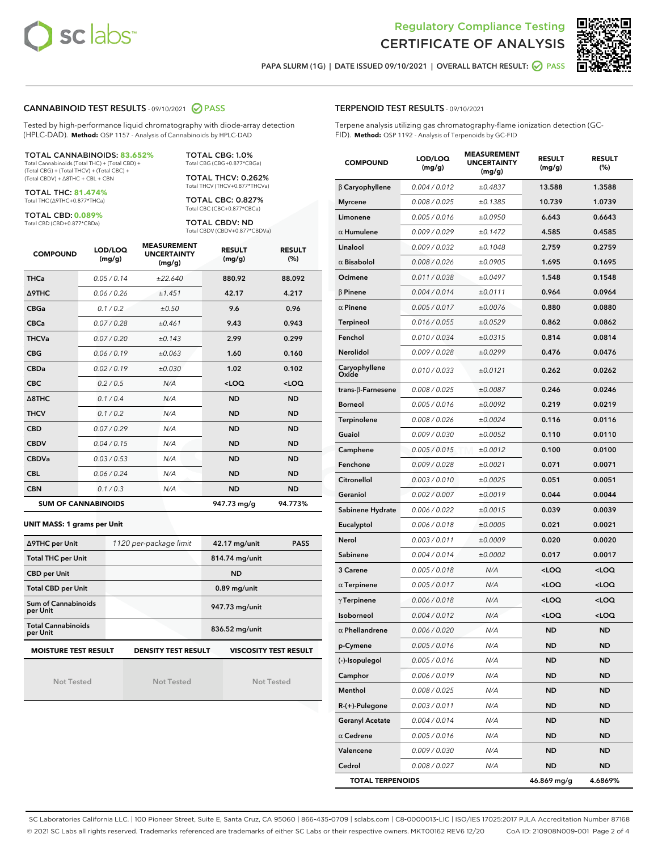



PAPA SLURM (1G) | DATE ISSUED 09/10/2021 | OVERALL BATCH RESULT: @ PASS

### CANNABINOID TEST RESULTS - 09/10/2021 2 PASS

Tested by high-performance liquid chromatography with diode-array detection (HPLC-DAD). **Method:** QSP 1157 - Analysis of Cannabinoids by HPLC-DAD

#### TOTAL CANNABINOIDS: **83.652%**

Total Cannabinoids (Total THC) + (Total CBD) + (Total CBG) + (Total THCV) + (Total CBC) + (Total CBDV) + ∆8THC + CBL + CBN

TOTAL THC: **81.474%** Total THC (∆9THC+0.877\*THCa)

TOTAL CBD: **0.089%**

Total CBD (CBD+0.877\*CBDa)

TOTAL CBG: 1.0% Total CBG (CBG+0.877\*CBGa)

TOTAL THCV: 0.262% Total THCV (THCV+0.877\*THCVa)

TOTAL CBC: 0.827% Total CBC (CBC+0.877\*CBCa)

TOTAL CBDV: ND Total CBDV (CBDV+0.877\*CBDVa)

| <b>COMPOUND</b>  | LOD/LOQ<br>(mg/g)          | <b>MEASUREMENT</b><br><b>UNCERTAINTY</b><br>(mg/g) | <b>RESULT</b><br>(mg/g) | <b>RESULT</b><br>(%) |
|------------------|----------------------------|----------------------------------------------------|-------------------------|----------------------|
| <b>THCa</b>      | 0.05/0.14                  | ±22.640                                            | 880.92                  | 88.092               |
| <b>A9THC</b>     | 0.06 / 0.26                | ±1.451                                             | 42.17                   | 4.217                |
| <b>CBGa</b>      | 0.1/0.2                    | ±0.50                                              | 9.6                     | 0.96                 |
| <b>CBCa</b>      | 0.07 / 0.28                | ±0.461                                             | 9.43                    | 0.943                |
| <b>THCVa</b>     | 0.07/0.20                  | ±0.143                                             | 2.99                    | 0.299                |
| <b>CBG</b>       | 0.06/0.19                  | ±0.063                                             | 1.60                    | 0.160                |
| <b>CBDa</b>      | 0.02/0.19                  | ±0.030                                             | 1.02                    | 0.102                |
| <b>CBC</b>       | 0.2 / 0.5                  | N/A                                                | $<$ LOQ                 | $<$ LOQ              |
| $\triangle$ 8THC | 0.1/0.4                    | N/A                                                | <b>ND</b>               | <b>ND</b>            |
| <b>THCV</b>      | 0.1/0.2                    | N/A                                                | <b>ND</b>               | <b>ND</b>            |
| <b>CBD</b>       | 0.07/0.29                  | N/A                                                | <b>ND</b>               | <b>ND</b>            |
| <b>CBDV</b>      | 0.04 / 0.15                | N/A                                                | <b>ND</b>               | <b>ND</b>            |
| <b>CBDVa</b>     | 0.03/0.53                  | N/A                                                | <b>ND</b>               | <b>ND</b>            |
| <b>CBL</b>       | 0.06 / 0.24                | N/A                                                | <b>ND</b>               | <b>ND</b>            |
| <b>CBN</b>       | 0.1/0.3                    | N/A                                                | <b>ND</b>               | <b>ND</b>            |
|                  | <b>SUM OF CANNABINOIDS</b> |                                                    | 947.73 mg/g             | 94.773%              |

#### **UNIT MASS: 1 grams per Unit**

| ∆9THC per Unit                        | 1120 per-package limit     | 42.17 mg/unit<br><b>PASS</b> |
|---------------------------------------|----------------------------|------------------------------|
| <b>Total THC per Unit</b>             |                            | 814.74 mg/unit               |
| <b>CBD per Unit</b>                   |                            | <b>ND</b>                    |
| <b>Total CBD per Unit</b>             |                            | $0.89$ mg/unit               |
| Sum of Cannabinoids<br>per Unit       |                            | 947.73 mg/unit               |
| <b>Total Cannabinoids</b><br>per Unit |                            | 836.52 mg/unit               |
| <b>MOISTURE TEST RESULT</b>           | <b>DENSITY TEST RESULT</b> | <b>VISCOSITY TEST RESULT</b> |

Not Tested

Not Tested

Not Tested

TERPENOID TEST RESULTS - 09/10/2021

Terpene analysis utilizing gas chromatography-flame ionization detection (GC-FID). **Method:** QSP 1192 - Analysis of Terpenoids by GC-FID

| <b>COMPOUND</b>         | LOD/LOQ<br>(mg/g) | <b>MEASUREMENT</b><br><b>UNCERTAINTY</b><br>(mg/g) | <b>RESULT</b><br>(mg/g)                         | <b>RESULT</b><br>$(\%)$ |
|-------------------------|-------------------|----------------------------------------------------|-------------------------------------------------|-------------------------|
| $\beta$ Caryophyllene   | 0.004 / 0.012     | ±0.4837                                            | 13.588                                          | 1.3588                  |
| <b>Myrcene</b>          | 0.008 / 0.025     | ±0.1385                                            | 10.739                                          | 1.0739                  |
| Limonene                | 0.005 / 0.016     | ±0.0950                                            | 6.643                                           | 0.6643                  |
| $\alpha$ Humulene       | 0.009/0.029       | ±0.1472                                            | 4.585                                           | 0.4585                  |
| Linalool                | 0.009 / 0.032     | ±0.1048                                            | 2.759                                           | 0.2759                  |
| $\alpha$ Bisabolol      | 0.008 / 0.026     | ±0.0905                                            | 1.695                                           | 0.1695                  |
| Ocimene                 | 0.011 / 0.038     | ±0.0497                                            | 1.548                                           | 0.1548                  |
| $\beta$ Pinene          | 0.004 / 0.014     | ±0.0111                                            | 0.964                                           | 0.0964                  |
| $\alpha$ Pinene         | 0.005 / 0.017     | ±0.0076                                            | 0.880                                           | 0.0880                  |
| Terpineol               | 0.016 / 0.055     | ±0.0529                                            | 0.862                                           | 0.0862                  |
| Fenchol                 | 0.010 / 0.034     | ±0.0315                                            | 0.814                                           | 0.0814                  |
| Nerolidol               | 0.009 / 0.028     | ±0.0299                                            | 0.476                                           | 0.0476                  |
| Caryophyllene<br>Oxide  | 0.010 / 0.033     | ±0.0121                                            | 0.262                                           | 0.0262                  |
| trans-β-Farnesene       | 0.008 / 0.025     | ±0.0087                                            | 0.246                                           | 0.0246                  |
| <b>Borneol</b>          | 0.005 / 0.016     | ±0.0092                                            | 0.219                                           | 0.0219                  |
| Terpinolene             | 0.008 / 0.026     | ±0.0024                                            | 0.116                                           | 0.0116                  |
| Guaiol                  | 0.009 / 0.030     | ±0.0052                                            | 0.110                                           | 0.0110                  |
| Camphene                | 0.005 / 0.015     | ±0.0012                                            | 0.100                                           | 0.0100                  |
| Fenchone                | 0.009 / 0.028     | ±0.0021                                            | 0.071                                           | 0.0071                  |
| Citronellol             | 0.003 / 0.010     | ±0.0025                                            | 0.051                                           | 0.0051                  |
| Geraniol                | 0.002 / 0.007     | ±0.0019                                            | 0.044                                           | 0.0044                  |
| Sabinene Hydrate        | 0.006 / 0.022     | ±0.0015                                            | 0.039                                           | 0.0039                  |
| Eucalyptol              | 0.006 / 0.018     | ±0.0005                                            | 0.021                                           | 0.0021                  |
| Nerol                   | 0.003 / 0.011     | ±0.0009                                            | 0.020                                           | 0.0020                  |
| Sabinene                | 0.004 / 0.014     | ±0.0002                                            | 0.017                                           | 0.0017                  |
| 3 Carene                | 0.005 / 0.018     | N/A                                                | <loq< th=""><th><loq< th=""></loq<></th></loq<> | <loq< th=""></loq<>     |
| $\alpha$ Terpinene      | 0.005 / 0.017     | N/A                                                | <loq< th=""><th><loq< th=""></loq<></th></loq<> | <loq< th=""></loq<>     |
| $\gamma$ Terpinene      | 0.006 / 0.018     | N/A                                                | <loq< th=""><th><loq< th=""></loq<></th></loq<> | <loq< th=""></loq<>     |
| Isoborneol              | 0.004 / 0.012     | N/A                                                | <loq< th=""><th><loq< th=""></loq<></th></loq<> | <loq< th=""></loq<>     |
| $\alpha$ Phellandrene   | 0.006 / 0.020     | N/A                                                | ND                                              | ND                      |
| p-Cymene                | 0.005 / 0.016     | N/A                                                | ND                                              | ND                      |
| (-)-Isopulegol          | 0.005 / 0.016     | N/A                                                | ND                                              | ND                      |
| Camphor                 | 0.006 / 0.019     | N/A                                                | <b>ND</b>                                       | <b>ND</b>               |
| Menthol                 | 0.008 / 0.025     | N/A                                                | <b>ND</b>                                       | ND                      |
| R-(+)-Pulegone          | 0.003 / 0.011     | N/A                                                | ND                                              | ND                      |
| <b>Geranyl Acetate</b>  | 0.004 / 0.014     | N/A                                                | <b>ND</b>                                       | ND                      |
| $\alpha$ Cedrene        | 0.005 / 0.016     | N/A                                                | <b>ND</b>                                       | ND                      |
| Valencene               | 0.009 / 0.030     | N/A                                                | ND                                              | ND                      |
| Cedrol                  | 0.008 / 0.027     | N/A                                                | <b>ND</b>                                       | <b>ND</b>               |
| <b>TOTAL TERPENOIDS</b> |                   |                                                    | 46.869 mg/g                                     | 4.6869%                 |

SC Laboratories California LLC. | 100 Pioneer Street, Suite E, Santa Cruz, CA 95060 | 866-435-0709 | sclabs.com | C8-0000013-LIC | ISO/IES 17025:2017 PJLA Accreditation Number 87168 © 2021 SC Labs all rights reserved. Trademarks referenced are trademarks of either SC Labs or their respective owners. MKT00162 REV6 12/20 CoA ID: 210908N009-001 Page 2 of 4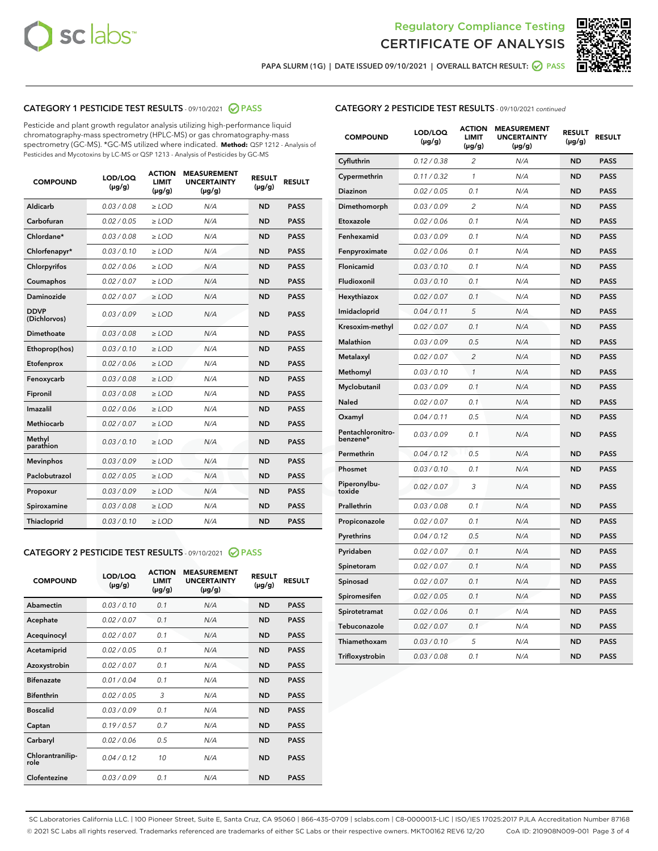



PAPA SLURM (1G) | DATE ISSUED 09/10/2021 | OVERALL BATCH RESULT: 2 PASS

### CATEGORY 1 PESTICIDE TEST RESULTS - 09/10/2021 2 PASS

Pesticide and plant growth regulator analysis utilizing high-performance liquid chromatography-mass spectrometry (HPLC-MS) or gas chromatography-mass spectrometry (GC-MS). \*GC-MS utilized where indicated. **Method:** QSP 1212 - Analysis of Pesticides and Mycotoxins by LC-MS or QSP 1213 - Analysis of Pesticides by GC-MS

| <b>COMPOUND</b>             | LOD/LOQ<br>$(\mu g/g)$ | <b>ACTION</b><br><b>LIMIT</b><br>$(\mu g/g)$ | <b>MEASUREMENT</b><br><b>UNCERTAINTY</b><br>$(\mu g/g)$ | <b>RESULT</b><br>$(\mu g/g)$ | <b>RESULT</b> |
|-----------------------------|------------------------|----------------------------------------------|---------------------------------------------------------|------------------------------|---------------|
| Aldicarb                    | 0.03 / 0.08            | $\ge$ LOD                                    | N/A                                                     | <b>ND</b>                    | <b>PASS</b>   |
| Carbofuran                  | 0.02/0.05              | $>$ LOD                                      | N/A                                                     | <b>ND</b>                    | <b>PASS</b>   |
| Chlordane*                  | 0.03 / 0.08            | $\ge$ LOD                                    | N/A                                                     | <b>ND</b>                    | <b>PASS</b>   |
| Chlorfenapyr*               | 0.03/0.10              | $\ge$ LOD                                    | N/A                                                     | <b>ND</b>                    | <b>PASS</b>   |
| Chlorpyrifos                | 0.02 / 0.06            | $\ge$ LOD                                    | N/A                                                     | <b>ND</b>                    | <b>PASS</b>   |
| Coumaphos                   | 0.02 / 0.07            | $>$ LOD                                      | N/A                                                     | <b>ND</b>                    | <b>PASS</b>   |
| Daminozide                  | 0.02 / 0.07            | $\ge$ LOD                                    | N/A                                                     | <b>ND</b>                    | <b>PASS</b>   |
| <b>DDVP</b><br>(Dichlorvos) | 0.03/0.09              | $\ge$ LOD                                    | N/A                                                     | <b>ND</b>                    | <b>PASS</b>   |
| <b>Dimethoate</b>           | 0.03 / 0.08            | $\ge$ LOD                                    | N/A                                                     | <b>ND</b>                    | <b>PASS</b>   |
| Ethoprop(hos)               | 0.03/0.10              | $>$ LOD                                      | N/A                                                     | <b>ND</b>                    | <b>PASS</b>   |
| Etofenprox                  | 0.02 / 0.06            | $\ge$ LOD                                    | N/A                                                     | <b>ND</b>                    | <b>PASS</b>   |
| Fenoxycarb                  | 0.03 / 0.08            | $>$ LOD                                      | N/A                                                     | <b>ND</b>                    | <b>PASS</b>   |
| Fipronil                    | 0.03/0.08              | $\ge$ LOD                                    | N/A                                                     | <b>ND</b>                    | <b>PASS</b>   |
| Imazalil                    | 0.02 / 0.06            | $\ge$ LOD                                    | N/A                                                     | <b>ND</b>                    | <b>PASS</b>   |
| <b>Methiocarb</b>           | 0.02 / 0.07            | $\ge$ LOD                                    | N/A                                                     | <b>ND</b>                    | <b>PASS</b>   |
| Methyl<br>parathion         | 0.03/0.10              | $>$ LOD                                      | N/A                                                     | <b>ND</b>                    | <b>PASS</b>   |
| <b>Mevinphos</b>            | 0.03/0.09              | $>$ LOD                                      | N/A                                                     | <b>ND</b>                    | <b>PASS</b>   |
| Paclobutrazol               | 0.02 / 0.05            | $\ge$ LOD                                    | N/A                                                     | <b>ND</b>                    | <b>PASS</b>   |
| Propoxur                    | 0.03/0.09              | $\ge$ LOD                                    | N/A                                                     | <b>ND</b>                    | <b>PASS</b>   |
| Spiroxamine                 | 0.03 / 0.08            | $\ge$ LOD                                    | N/A                                                     | <b>ND</b>                    | <b>PASS</b>   |
| <b>Thiacloprid</b>          | 0.03/0.10              | $\ge$ LOD                                    | N/A                                                     | <b>ND</b>                    | <b>PASS</b>   |
|                             |                        |                                              |                                                         |                              |               |

### CATEGORY 2 PESTICIDE TEST RESULTS - 09/10/2021 @ PASS

| <b>COMPOUND</b>          | LOD/LOQ<br>$(\mu g/g)$ | <b>ACTION</b><br><b>LIMIT</b><br>$(\mu g/g)$ | <b>MEASUREMENT</b><br><b>UNCERTAINTY</b><br>$(\mu g/g)$ | <b>RESULT</b><br>$(\mu g/g)$ | <b>RESULT</b> |  |
|--------------------------|------------------------|----------------------------------------------|---------------------------------------------------------|------------------------------|---------------|--|
| Abamectin                | 0.03/0.10              | 0.1                                          | N/A                                                     | <b>ND</b>                    | <b>PASS</b>   |  |
| Acephate                 | 0.02/0.07              | 0.1                                          | N/A                                                     | <b>ND</b>                    | <b>PASS</b>   |  |
| Acequinocyl              | 0.02/0.07              | 0.1                                          | N/A                                                     | <b>ND</b>                    | <b>PASS</b>   |  |
| Acetamiprid              | 0.02/0.05              | 0.1                                          | N/A                                                     | <b>ND</b>                    | <b>PASS</b>   |  |
| Azoxystrobin             | 0.02/0.07              | 0.1                                          | N/A                                                     | <b>ND</b>                    | <b>PASS</b>   |  |
| <b>Bifenazate</b>        | 0.01/0.04              | 0.1                                          | N/A                                                     | <b>ND</b>                    | <b>PASS</b>   |  |
| <b>Bifenthrin</b>        | 0.02/0.05              | 3                                            | N/A                                                     | <b>ND</b>                    | <b>PASS</b>   |  |
| <b>Boscalid</b>          | 0.03/0.09              | 0.1                                          | N/A                                                     | <b>ND</b>                    | <b>PASS</b>   |  |
| Captan                   | 0.19/0.57              | 0.7                                          | N/A                                                     | <b>ND</b>                    | <b>PASS</b>   |  |
| Carbaryl                 | 0.02/0.06              | 0.5                                          | N/A                                                     | <b>ND</b>                    | <b>PASS</b>   |  |
| Chlorantranilip-<br>role | 0.04/0.12              | 10                                           | N/A                                                     | <b>ND</b>                    | <b>PASS</b>   |  |
| Clofentezine             | 0.03/0.09              | 0.1                                          | N/A                                                     | <b>ND</b>                    | <b>PASS</b>   |  |
|                          |                        |                                              |                                                         |                              |               |  |

| <b>COMPOUND</b>               | LOD/LOQ<br>(µg/g) | <b>ACTION</b><br>LIMIT<br>$(\mu g/g)$ | <b>MEASUREMENT</b><br><b>UNCERTAINTY</b><br>(µg/g) | <b>RESULT</b><br>(µg/g) | <b>RESULT</b> |
|-------------------------------|-------------------|---------------------------------------|----------------------------------------------------|-------------------------|---------------|
| Cyfluthrin                    | 0.12 / 0.38       | 2                                     | N/A                                                | <b>ND</b>               | <b>PASS</b>   |
| Cypermethrin                  | 0.11 / 0.32       | $\mathcal{I}$                         | N/A                                                | <b>ND</b>               | <b>PASS</b>   |
| Diazinon                      | 0.02 / 0.05       | 0.1                                   | N/A                                                | ND                      | <b>PASS</b>   |
| Dimethomorph                  | 0.03 / 0.09       | 2                                     | N/A                                                | <b>ND</b>               | <b>PASS</b>   |
| Etoxazole                     | 0.02 / 0.06       | 0.1                                   | N/A                                                | <b>ND</b>               | <b>PASS</b>   |
| Fenhexamid                    | 0.03 / 0.09       | 0.1                                   | N/A                                                | <b>ND</b>               | <b>PASS</b>   |
| Fenpyroximate                 | 0.02 / 0.06       | 0.1                                   | N/A                                                | <b>ND</b>               | <b>PASS</b>   |
| Flonicamid                    | 0.03 / 0.10       | 0.1                                   | N/A                                                | <b>ND</b>               | <b>PASS</b>   |
| Fludioxonil                   | 0.03 / 0.10       | 0.1                                   | N/A                                                | <b>ND</b>               | <b>PASS</b>   |
| Hexythiazox                   | 0.02 / 0.07       | 0.1                                   | N/A                                                | <b>ND</b>               | <b>PASS</b>   |
| Imidacloprid                  | 0.04 / 0.11       | 5                                     | N/A                                                | <b>ND</b>               | <b>PASS</b>   |
| Kresoxim-methyl               | 0.02 / 0.07       | 0.1                                   | N/A                                                | <b>ND</b>               | <b>PASS</b>   |
| <b>Malathion</b>              | 0.03 / 0.09       | 0.5                                   | N/A                                                | <b>ND</b>               | <b>PASS</b>   |
| Metalaxyl                     | 0.02 / 0.07       | $\overline{2}$                        | N/A                                                | <b>ND</b>               | <b>PASS</b>   |
| Methomyl                      | 0.03 / 0.10       | 1                                     | N/A                                                | <b>ND</b>               | <b>PASS</b>   |
| Myclobutanil                  | 0.03 / 0.09       | 0.1                                   | N/A                                                | <b>ND</b>               | <b>PASS</b>   |
| Naled                         | 0.02 / 0.07       | 0.1                                   | N/A                                                | <b>ND</b>               | <b>PASS</b>   |
| Oxamyl                        | 0.04 / 0.11       | 0.5                                   | N/A                                                | <b>ND</b>               | <b>PASS</b>   |
| Pentachloronitro-<br>benzene* | 0.03 / 0.09       | 0.1                                   | N/A                                                | <b>ND</b>               | <b>PASS</b>   |
| Permethrin                    | 0.04 / 0.12       | 0.5                                   | N/A                                                | <b>ND</b>               | <b>PASS</b>   |
| Phosmet                       | 0.03/0.10         | 0.1                                   | N/A                                                | <b>ND</b>               | <b>PASS</b>   |
| Piperonylbu-<br>toxide        | 0.02 / 0.07       | 3                                     | N/A                                                | <b>ND</b>               | <b>PASS</b>   |
| Prallethrin                   | 0.03 / 0.08       | 0.1                                   | N/A                                                | <b>ND</b>               | <b>PASS</b>   |
| Propiconazole                 | 0.02 / 0.07       | 0.1                                   | N/A                                                | <b>ND</b>               | <b>PASS</b>   |
| Pyrethrins                    | 0.04 / 0.12       | 0.5                                   | N/A                                                | <b>ND</b>               | <b>PASS</b>   |
| Pyridaben                     | 0.02 / 0.07       | 0.1                                   | N/A                                                | <b>ND</b>               | <b>PASS</b>   |
| Spinetoram                    | 0.02 / 0.07       | 0.1                                   | N/A                                                | <b>ND</b>               | <b>PASS</b>   |
| Spinosad                      | 0.02 / 0.07       | 0.1                                   | N/A                                                | <b>ND</b>               | <b>PASS</b>   |
| Spiromesifen                  | 0.02 / 0.05       | 0.1                                   | N/A                                                | <b>ND</b>               | <b>PASS</b>   |
| Spirotetramat                 | 0.02 / 0.06       | 0.1                                   | N/A                                                | <b>ND</b>               | <b>PASS</b>   |
| Tebuconazole                  | 0.02 / 0.07       | 0.1                                   | N/A                                                | <b>ND</b>               | <b>PASS</b>   |
| Thiamethoxam                  | 0.03 / 0.10       | 5                                     | N/A                                                | <b>ND</b>               | <b>PASS</b>   |
| Trifloxystrobin               | 0.03 / 0.08       | 0.1                                   | N/A                                                | <b>ND</b>               | <b>PASS</b>   |

SC Laboratories California LLC. | 100 Pioneer Street, Suite E, Santa Cruz, CA 95060 | 866-435-0709 | sclabs.com | C8-0000013-LIC | ISO/IES 17025:2017 PJLA Accreditation Number 87168 © 2021 SC Labs all rights reserved. Trademarks referenced are trademarks of either SC Labs or their respective owners. MKT00162 REV6 12/20 CoA ID: 210908N009-001 Page 3 of 4